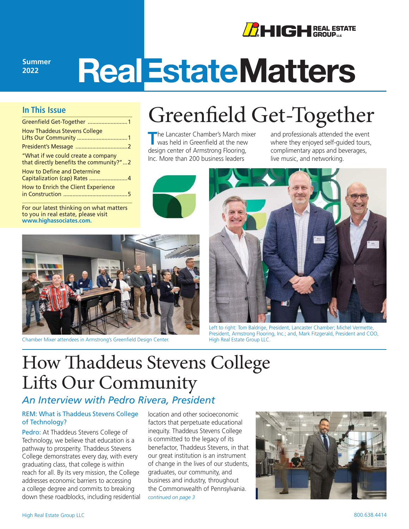

**2022**

# **RealEstateMatters**

#### **In This Issue**

| Greenfield Get-Together  1                                                    |
|-------------------------------------------------------------------------------|
| <b>How Thaddeus Stevens College</b>                                           |
|                                                                               |
| "What if we could create a company<br>that directly benefits the community?"2 |
| <b>How to Define and Determine</b><br>Capitalization (cap) Rates 4            |
| How to Enrich the Client Experience                                           |

For our latest thinking on what matters to you in real estate, please visit **www.highassociates.com.**

## Greenfield Get-Together

**T**he Lancaster Chamber's March mixer was held in Greenfield at the new design center of Armstrong Flooring, Inc. More than 200 business leaders



and professionals attended the event where they enjoyed self-guided tours, complimentary apps and beverages, live music, and networking.



Chamber Mixer attendees in Armstrong's Greenfield Design Center.



Left to right: Tom Baldrige, President, Lancaster Chamber; Michel Vermette, President, Armstrong Flooring, Inc.; and, Mark Fitzgerald, President and COO, High Real Estate Group LLC.

### How Thaddeus Stevens College Lifts Our Community

#### *An Interview with Pedro Rivera, President*

#### REM: What is Thaddeus Stevens College of Technology?

Pedro: At Thaddeus Stevens College of Technology, we believe that education is a pathway to prosperity. Thaddeus Stevens College demonstrates every day, with every graduating class, that college is within reach for all. By its very mission, the College addresses economic barriers to accessing a college degree and commits to breaking down these roadblocks, including residential *[continued on page 3](#page-2-0)*

location and other socioeconomic factors that perpetuate educational inequity. Thaddeus Stevens College is committed to the legacy of its benefactor, Thaddeus Stevens, in that our great institution is an instrument of change in the lives of our students, graduates, our community, and business and industry, throughout the Commonwealth of Pennsylvania.

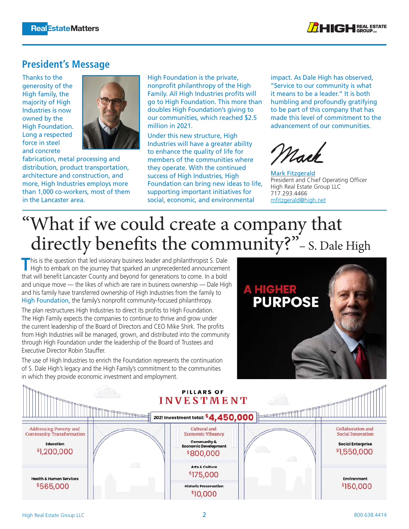

#### <span id="page-1-0"></span>**President's Message**

Thanks to the generosity of the High family, the majority of High Industries is now owned by the High Foundation. Long a respected force in steel and concrete



fabrication, metal processing and distribution, product transportation, architecture and construction, and more, High Industries employs more than 1,000 co-workers, most of them in the Lancaster area.

High Foundation is the private, nonprofit philanthropy of the High Family. All High Industries profits will go to High Foundation. This more than doubles High Foundation's giving to our communities, which reached \$2.5 million in 2021.

Under this new structure, High Industries will have a greater ability to enhance the quality of life for members of the communities where they operate. With the continued success of High Industries, High Foundation can bring new ideas to life, supporting important initiatives for social, economic, and environmental

impact. As Dale High has observed, "Service to our community is what it means to be a leader." It is both humbling and profoundly gratifying to be part of this company that has made this level of commitment to the advancement of our communities.

Mack

[Mark Fitzgerald](https://www.highrealestategroup.com/about-us/leadership/mark-fitzgerald/) President and Chief Operating Officer High Real Estate Group LLC 717.293.4466 mfitzgerald@high.net

## "What if we could create a company that directly benefits the community?"- S. Dale High

This is the question that led visionary business leader and philanthropist S. Dale<br>High to embark on the journey that sparked an unprecedented announcement that will benefit Lancaster County and beyond for generations to come. In a bold and unique move — the likes of which are rare in business ownership — Dale High and his family have transferred ownership of High Industries from the family to [High Foundation,](https://www.highfoundation.org/) the family's nonprofit community-focused philanthropy.

The plan restructures High Industries to direct its profits to High Foundation. The High Family expects the companies to continue to thrive and grow under the current leadership of the Board of Directors and CEO Mike Shirk. The profits from High Industries will be managed, grown, and distributed into the community through High Foundation under the leadership of the Board of Trustees and Executive Director Robin Stauffer.

The use of High Industries to enrich the Foundation represents the continuation of S. Dale High's legacy and the High Family's commitment to the communities in which they provide economic investment and employment.



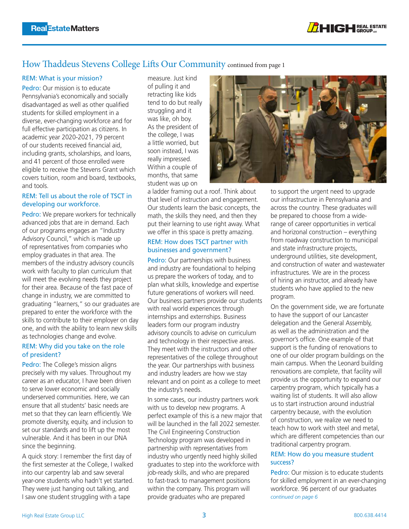

#### <span id="page-2-0"></span>How Thaddeus Stevens College Lifts Our Community continued from page 1

#### REM: What is your mission?

Pedro: Our mission is to educate Pennsylvania's economically and socially disadvantaged as well as other qualified students for skilled employment in a diverse, ever-changing workforce and for full effective participation as citizens. In academic year 2020-2021, 79 percent of our students received financial aid, including grants, scholarships, and loans, and 41 percent of those enrolled were eligible to receive the Stevens Grant which covers tuition, room and board, textbooks, and tools.

#### REM: Tell us about the role of TSCT in developing our workforce.

Pedro: We prepare workers for technically advanced jobs that are in demand. Each of our programs engages an "Industry Advisory Council," which is made up of representatives from companies who employ graduates in that area. The members of the industry advisory councils work with faculty to plan curriculum that will meet the evolving needs they project for their area. Because of the fast pace of change in industry, we are committed to graduating "learners," so our graduates are prepared to enter the workforce with the skills to contribute to their employer on day one, and with the ability to learn new skills as technologies change and evolve.

#### REM: Why did you take on the role of president?

Pedro: The College's mission aligns precisely with my values. Throughout my career as an educator, I have been driven to serve lower economic and socially underserved communities. Here, we can ensure that all students' basic needs are met so that they can learn efficiently. We promote diversity, equity, and inclusion to set our standards and to lift up the most vulnerable. And it has been in our DNA since the beginning.

A quick story: I remember the first day of the first semester at the College, I walked into our carpentry lab and saw several year-one students who hadn't yet started. They were just hanging out talking, and I saw one student struggling with a tape

measure. Just kind of pulling it and retracting like kids tend to do but really struggling and it was like, oh boy. As the president of the college, I was a little worried, but soon instead, I was really impressed. Within a couple of months, that same student was up on

a ladder framing out a roof. Think about that level of instruction and engagement. Our students learn the basic concepts, the math, the skills they need, and then they put their learning to use right away. What we offer in this space is pretty amazing.

#### REM: How does TSCT partner with businesses and government?

Pedro: Our partnerships with business and industry are foundational to helping us prepare the workers of today, and to plan what skills, knowledge and expertise future generations of workers will need. Our business partners provide our students with real world experiences through internships and externships. Business leaders form our program industry advisory councils to advise on curriculum and technology in their respective areas. They meet with the instructors and other representatives of the college throughout the year. Our partnerships with business and industry leaders are how we stay relevant and on point as a college to meet the industry's needs.

In some cases, our industry partners work with us to develop new programs. A perfect example of this is a new major that will be launched in the fall 2022 semester. The Civil Engineering Construction Technology program was developed in partnership with representatives from industry who urgently need highly skilled graduates to step into the workforce with job-ready skills, and who are prepared to fast-track to management positions within the company. This program will provide graduates who are prepared



to support the urgent need to upgrade our infrastructure in Pennsylvania and across the country. These graduates will be prepared to choose from a widerange of career opportunities in vertical and horizonal construction – everything from roadway construction to municipal and state infrastructure projects, underground utilities, site development, and construction of water and wastewater infrastructures. We are in the process of hiring an instructor, and already have students who have applied to the new program.

On the government side, we are fortunate to have the support of our Lancaster delegation and the General Assembly, as well as the administration and the governor's office. One example of that support is the funding of renovations to one of our older program buildings on the main campus. When the Leonard building renovations are complete, that facility will provide us the opportunity to expand our carpentry program, which typically has a waiting list of students. It will also allow us to start instruction around industrial carpentry because, with the evolution of construction, we realize we need to teach how to work with steel and metal, which are different competencies than our traditional carpentry program.

#### REM: How do you measure student success?

*[continued on page 6](#page-5-0)* Pedro: Our mission is to educate students for skilled employment in an ever-changing workforce. 96 percent of our graduates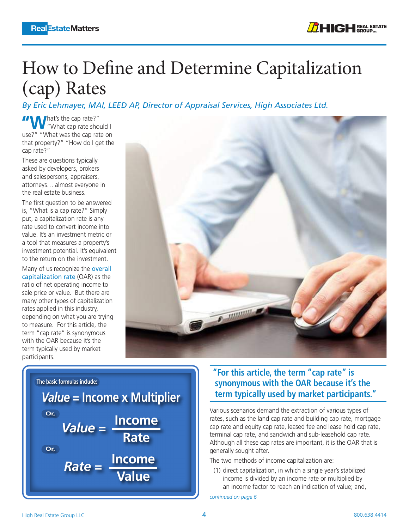## <span id="page-3-0"></span>How to Define and Determine Capitalization (cap) Rates

*By Eric Lehmayer, MAI, LEED AP, Director of Appraisal Services, High Associates Ltd.*

**"W**hat's the cap rate?" "What cap rate should I use?" "What was the cap rate on that property?" "How do I get the cap rate?"

These are questions typically asked by developers, brokers and salespersons, appraisers, attorneys… almost everyone in the real estate business.

The first question to be answered is, "What is a cap rate?" Simply put, a capitalization rate is any rate used to convert income into value. It's an investment metric or a tool that measures a property's investment potential. It's equivalent to the return on the investment.

Many of us recognize the [overall](https://www.investopedia.com/terms/c/capitalizationrate.asp#:~:text=That%20is%2C%20the%20cap%20rate,)  [capitalization rate](https://www.investopedia.com/terms/c/capitalizationrate.asp#:~:text=That%20is%2C%20the%20cap%20rate,) (OAR) as the ratio of net operating income to sale price or value. But there are many other types of capitalization rates applied in this industry, depending on what you are trying to measure. For this article, the term "cap rate" is synonymous with the OAR because it's the term typically used by market participants.



The basic formulas include:  
\nValue = Income × Multiplier  
\nor.  
\nValue = 
$$
\frac{Income}{Rate}
$$
  
\nor.  
\nRate =  $\frac{Income}{Value}$ 

#### **"For this article, the term "cap rate" is synonymous with the OAR because it's the term typically used by market participants."**

Various scenarios demand the extraction of various types of rates, such as the land cap rate and building cap rate, mortgage cap rate and equity cap rate, leased fee and lease hold cap rate, terminal cap rate, and sandwich and sub-leasehold cap rate. Although all these cap rates are important, it is the OAR that is generally sought after.

The two methods of income capitalization are:

(1) direct capitalization, in which a single year's stabilized income is divided by an income rate or multiplied by an income factor to reach an indication of value; and,

*[continued on page 6](#page-5-0)*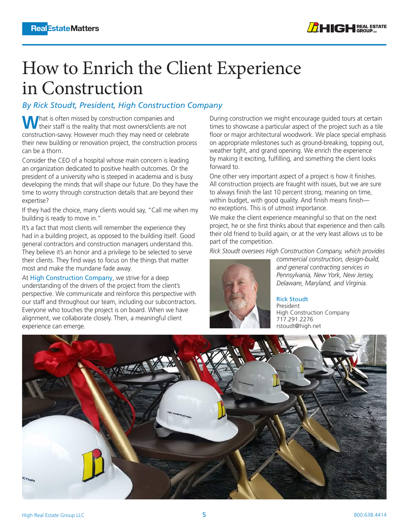## <span id="page-4-0"></span>How to Enrich the Client Experience in Construction

#### *By Rick Stoudt, President, High Construction Company*

What is often missed by construction companies and their staff is the reality that most owners/clients are not construction-savvy. However much they may need or celebrate their new building or renovation project, the construction process can be a thorn.

Consider the CEO of a hospital whose main concern is leading an organization dedicated to positive health outcomes. Or the president of a university who is steeped in academia and is busy developing the minds that will shape our future. Do they have the time to worry through construction details that are beyond their expertise?

If they had the choice, many clients would say, "Call me when my building is ready to move in."

It's a fact that most clients will remember the experience they had in a building project, as opposed to the building itself. Good general contractors and construction managers understand this. They believe it's an honor and a privilege to be selected to serve their clients. They find ways to focus on the things that matter most and make the mundane fade away.

At [High Construction Company](https://www.highconstruction.com/), we strive for a deep understanding of the drivers of the project from the client's perspective. We communicate and reinforce this perspective with our staff and throughout our team, including our subcontractors. Everyone who touches the project is on board. When we have alignment, we collaborate closely. Then, a meaningful client experience can emerge.

During construction we might encourage guided tours at certain times to showcase a particular aspect of the project such as a tile floor or major architectural woodwork. We place special emphasis on appropriate milestones such as ground-breaking, topping out, weather tight, and grand opening. We enrich the experience by making it exciting, fulfilling, and something the client looks forward to.

One other very important aspect of a project is how it finishes. All construction projects are fraught with issues, but we are sure to always finish the last 10 percent strong, meaning on time, within budget, with good quality. And finish means finish no exceptions. This is of utmost importance.

We make the client experience meaningful so that on the next project, he or she first thinks about that experience and then calls their old friend to build again, or at the very least allows us to be part of the competition.

*Rick Stoudt oversees High Construction Company, which provides* 



*commercial construction, design-build, and general contracting services in Pennsylvania, New York, New Jersey, Delaware, Maryland, and Virginia.*

[Rick Stoudt](https://www.linkedin.com/in/rickstoudt/) President High Construction Company 717.291.2276 [rstoudt@high.net](mailto:rstoudt@high.net)

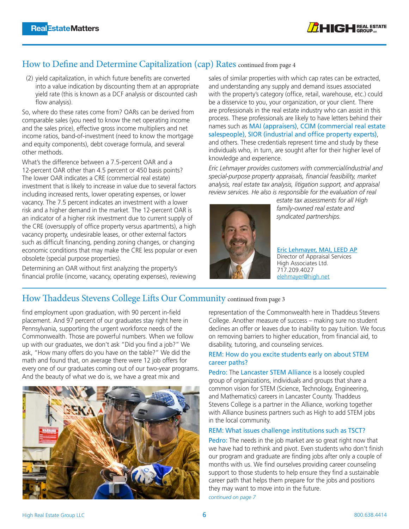

#### <span id="page-5-0"></span>How to Define and Determine Capitalization (cap) Rates continued from page 4

(2) yield capitalization, in which future benefits are converted into a value indication by discounting them at an appropriate yield rate (this is known as a DCF analysis or discounted cash flow analysis).

So, where do these rates come from? OARs can be derived from comparable sales (you need to know the net operating income and the sales price), effective gross income multipliers and net income ratios, band-of-investment (need to know the mortgage and equity components), debt coverage formula, and several other methods.

What's the difference between a 7.5-percent OAR and a 12-percent OAR other than 4.5 percent or 450 basis points? The lower OAR indicates a CRE (commercial real estate) investment that is likely to increase in value due to several factors including increased rents, lower operating expenses, or lower vacancy. The 7.5 percent indicates an investment with a lower risk and a higher demand in the market. The 12-percent OAR is an indicator of a higher risk investment due to current supply of the CRE (oversupply of office property versus apartments), a high vacancy property, undesirable leases, or other external factors such as difficult financing, pending zoning changes, or changing economic conditions that may make the CRE less popular or even obsolete (special purpose properties).

Determining an OAR without first analyzing the property's financial profile (income, vacancy, operating expenses), reviewing sales of similar properties with which cap rates can be extracted, and understanding any supply and demand issues associated with the property's category (office, retail, warehouse, etc.) could be a disservice to you, your organization, or your client. There are professionals in the real estate industry who can assist in this process. These professionals are likely to have letters behind their names such as [MAI \(appraisers\)](https://www.appraisalinstitute.org/our-designations/), [CCIM \(commercial real estate](https://www.ccim.com/about-ccim/the-designation/)  [salespeople\)](https://www.ccim.com/about-ccim/the-designation/), [SIOR \(industrial and office property experts\)](https://www.sior.com/docs/default-source/membership-docs/3-2015-sior-designation-requirements.pdf?sfvrsn=0), and others. These credentials represent time and study by these individuals who, in turn, are sought after for their higher level of knowledge and experience.

*Eric Lehmayer provides customers with commercial/industrial and special-purpose property appraisals, financial feasibility, market analysis, real estate tax analysis, litigation support, and appraisal review services. He also is responsible for the evaluation of real* 



*estate tax assessments for all High family-owned real estate and syndicated partnerships.*

[Eric Lehmayer, MAI, LEED AP](https://www.highassociates.com/services/high-appraisal/qualifications-affiliations/eric-lehmayer-profile/) Director of Appraisal Services High Associates Ltd. 717.209.4027 elehmayer@high.net

#### How Thaddeus Stevens College Lifts Our Community continued from page 3

find employment upon graduation, with 90 percent in-field placement. And 97 percent of our graduates stay right here in Pennsylvania, supporting the urgent workforce needs of the Commonwealth. Those are powerful numbers. When we follow up with our graduates, we don't ask "Did you find a job?" We ask, "How many offers do you have on the table?" We did the math and found that, on average there were 12 job offers for every one of our graduates coming out of our two-year programs. And the beauty of what we do is, we have a great mix and



representation of the Commonwealth here in Thaddeus Stevens College. Another measure of success – making sure no student declines an offer or leaves due to inability to pay tuition. We focus on removing barriers to higher education, from financial aid, to disability, tutoring, and counseling services.

#### REM: How do you excite students early on about STEM career paths?

Pedro: The [Lancaster STEM Alliance](https://www.lancasterstem.org/) is a loosely coupled group of organizations, individuals and groups that share a common vision for STEM (Science, Technology, Engineering, and Mathematics) careers in Lancaster County. Thaddeus Stevens College is a partner in the Alliance, working together with Alliance business partners such as High to add STEM jobs in the local community.

#### REM: What issues challenge institutions such as TSCT?

Pedro: The needs in the job market are so great right now that we have had to rethink and pivot. Even students who don't finish our program and graduate are finding jobs after only a couple of months with us. We find ourselves providing career counseling support to those students to help ensure they find a sustainable career path that helps them prepare for the jobs and positions they may want to move into in the future.

*[continued on page 7](#page-6-0)*

6